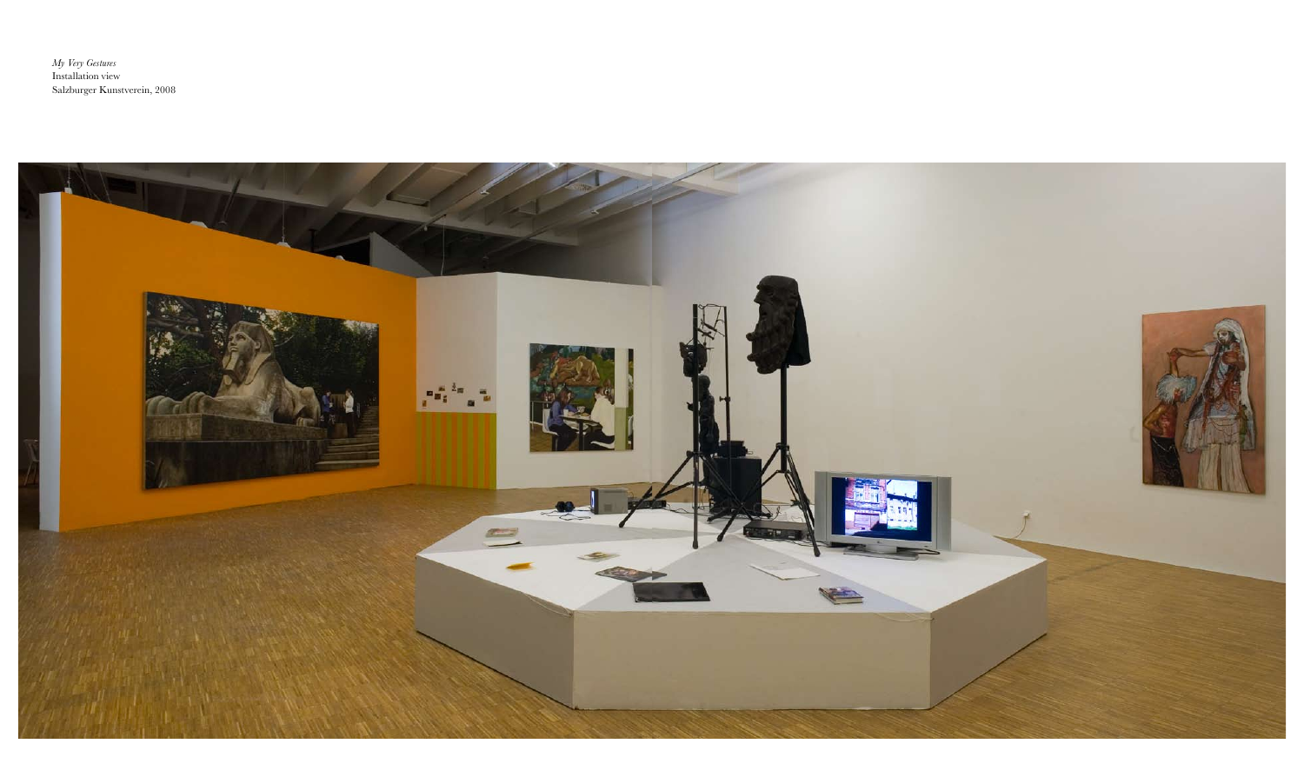*My Very Gestures* Installation view Salzburger Kunstverein, 2008

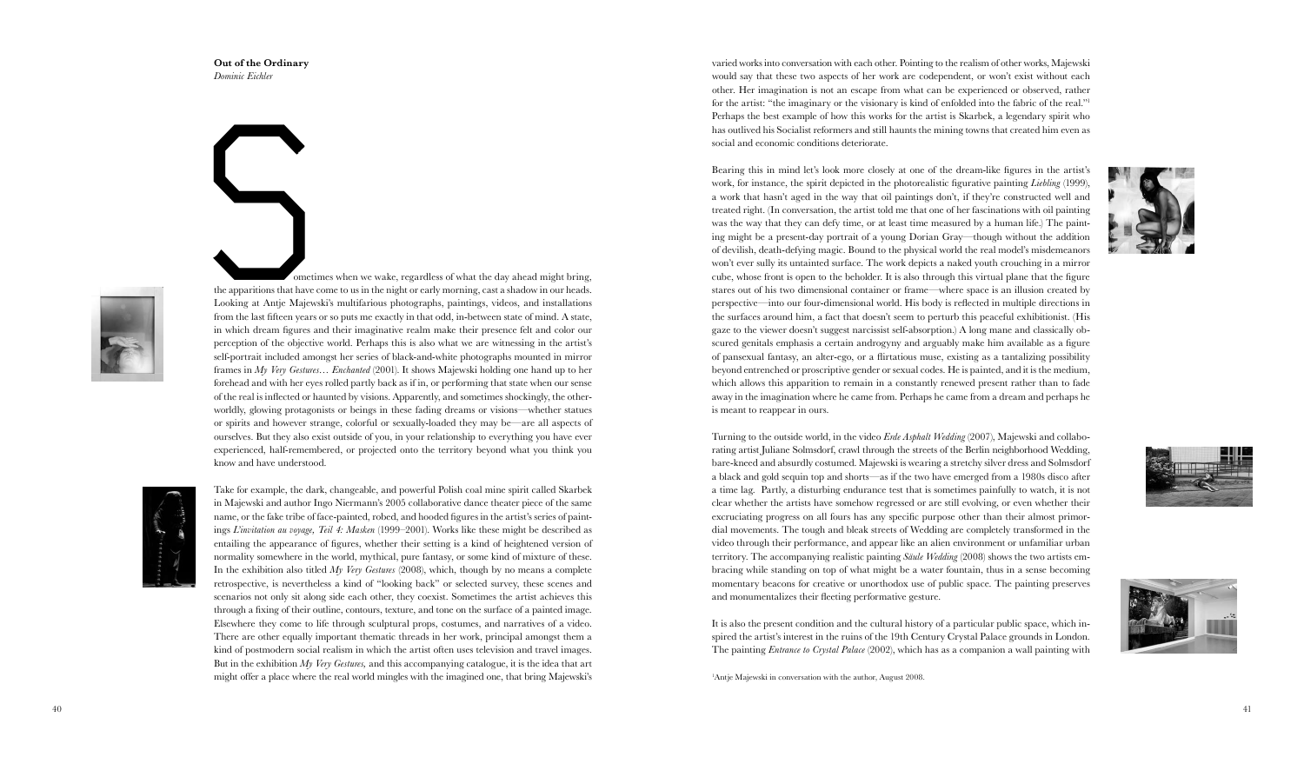varied works into conversation with each other. Pointing to the realism of other works, Majewski would say that these two aspects of her work are codependent, or won't exist without each other. Her imagination is not an escape from what can be experienced or observed, rather for the artist: "the imaginary or the visionary is kind of enfolded into the fabric of the real." 1 Perhaps the best example of how this works for the artist is Skarbek, a legendary spirit who has outlived his Socialist reformers and still haunts the mining towns that created him even as social and economic conditions deteriorate.

Bearing this in mind let's look more closely at one of the dream-like figures in the artist's work, for instance, the spirit depicted in the photorealistic figurative painting *Liebling* (1999), a work that hasn't aged in the way that oil paintings don't, if they're constructed well and treated right. (In conversation, the artist told me that one of her fascinations with oil painting was the way that they can defy time, or at least time measured by a human life.) The paint ing might be a present-day portrait of a young Dorian Gray—though without the addition of devilish, death-defying magic. Bound to the physical world the real model's misdemeanors won't ever sully its untainted surface. The work depicts a naked youth crouching in a mirror cube, whose front is open to the beholder. It is also through this virtual plane that the figure stares out of his two dimensional container or frame—where space is an illusion created by perspective—into our four-dimensional world. His body is reflected in multiple directions in the surfaces around him, a fact that doesn't seem to perturb this peaceful exhibitionist. (His gaze to the viewer doesn't suggest narcissist self-absorption.) A long mane and classically ob scured genitals emphasis a certain androgyny and arguably make him available as a figure of pansexual fantasy, an alter-ego, or a flirtatious muse, existing as a tantalizing possibility beyond entrenched or proscriptive gender or sexual codes. He is painted, and it is the medium, which allows this apparition to remain in a constantly renewed present rather than to fade away in the imagination where he came from. Perhaps he came from a dream and perhaps he is meant to reappear in ours.

 ometimes when we wake, regardless of what the day ahead might bring, the apparitions that have come to us in the night or early morning, cast a shadow in our heads. Looking at Antje Majewski's multifarious photographs, paintings, videos, and installations from the last fifteen years or so puts me exactly in that odd, in-between state of mind. A state, in which dream figures and their imaginative realm make their presence felt and color our perception of the objective world. Perhaps this is also what we are witnessing in the artist's self-portrait included amongst her series of black-and-white photographs mounted in mirror frames in *My Very Gestures… Enchanted* (2001). It shows Majewski holding one hand up to her forehead and with her eyes rolled partly back as if in, or performing that state when our sense of the real is inflected or haunted by visions. Apparently, and sometimes shockingly, the otherworldly, glowing protagonists or beings in these fading dreams or visions—whether statues or spirits and however strange, colorful or sexually-loaded they may be—are all aspects of ourselves. But they also exist outside of you, in your relationship to everything you have ever experienced, half-remembered, or projected onto the territory beyond what you think you know and have understood. **Maginarization** solution with order of the real world mingles of what the day ahead minglis bring<br>a place and a Angle Majewski's multifirients photographs, paintings, east a shadow in our beads,<br>nothing at Angle Majewski



Turning to the outside world, in the video *Erde Asphalt Wedding* (2007), Majewski and collabo rating artist Juliane Solmsdorf, crawl through the streets of the Berlin neighborhood Wedding, bare-kneed and absurdly costumed. Majewski is wearing a stretchy silver dress and Solmsdorf a black and gold sequin top and shorts—as if the two have emerged from a 1980s disco after a time lag. Partly, a disturbing endurance test that is sometimes painfully to watch, it is not clear whether the artists have somehow regressed or are still evolving, or even whether their excruciating progress on all fours has any specific purpose other than their almost primor dial movements. The tough and bleak streets of Wedding are completely transformed in the video through their performance, and appear like an alien environment or unfamiliar urban territory. The accompanying realistic painting *Säule Wedding* (2008) shows the two artists em bracing while standing on top of what might be a water fountain, thus in a sense becoming momentary beacons for creative or unorthodox use of public space. The painting preserves and monumentalizes their fleeting performative gesture.

It is also the present condition and the cultural history of a particular public space, which in spired the artist's interest in the ruins of the 19th Century Crystal Palace grounds in London. The painting *Entrance to Crystal Palace* (2002), which has as a companion a wall painting with 1

Antje Majewski in conversation with the author, August 2008.







**Out of the Ordinary** *Dominic Eichler*



Take for example, the dark, changeable, and powerful Polish coal mine spirit called Skarbek in Majewski and author Ingo Niermann's 2005 collaborative dance theater piece of the same name, or the fake tribe of face-painted, robed, and hooded figures in the artist's series of paint ings *L'invitation au voyage, Teil 4: Masken* (1999–2001). Works like these might be described as entailing the appearance of figures, whether their setting is a kind of heightened version of normality somewhere in the world, mythical, pure fantasy, or some kind of mixture of these. In the exhibition also titled *My Very Gestures* (2008), which, though by no means a complete retrospective, is nevertheless a kind of "looking back" or selected survey, these scenes and scenarios not only sit along side each other, they coexist. Sometimes the artist achieves this through a fixing of their outline, contours, texture, and tone on the surface of a painted image. Elsewhere they come to life through sculptural props, costumes, and narratives of a video. There are other equally important thematic threads in her work, principal amongst them a kind of postmodern social realism in which the artist often uses television and travel images. But in the exhibition *My Very Gestures,* and this accompanying catalogue, it is the idea that art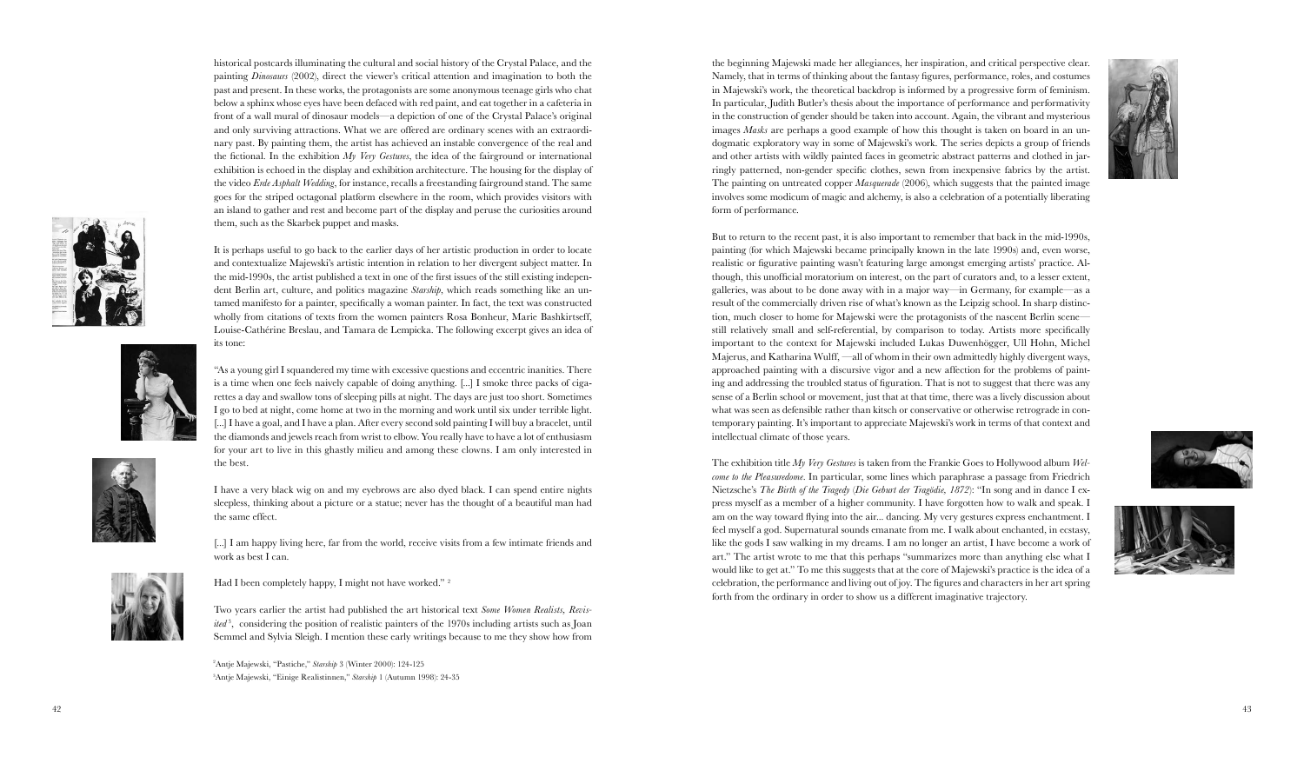the beginning Majewski made her allegiances, her inspiration, and critical perspective clear. Namely, that in terms of thinking about the fantasy figures, performance, roles, and costumes in Majewski's work, the theoretical backdrop is informed by a progressive form of feminism. In particular, Judith Butler's thesis about the importance of performance and performativity in the construction of gender should be taken into account. Again, the vibrant and mysterious images *Masks* are perhaps a good example of how this thought is taken on board in an undogmatic exploratory way in some of Majewski's work. The series depicts a group of friends and other artists with wildly painted faces in geometric abstract patterns and clothed in jar ringly patterned, non-gender specific clothes, sewn from inexpensive fabrics by the artist. The painting on untreated copper *Masquerade* (2006), which suggests that the painted image involves some modicum of magic and alchemy, is also a celebration of a potentially liberating form of performance.

But to return to the recent past, it is also important to remember that back in the mid-1990s, painting (for which Majewski became principally known in the late 1990s) and, even worse, realistic or figurative painting wasn't featuring large amongst emerging artists' practice. Al though, this unofficial moratorium on interest, on the part of curators and, to a lesser extent, galleries, was about to be done away with in a major way—in Germany, for example—as a result of the commercially driven rise of what's known as the Leipzig school. In sharp distinc tion, much closer to home for Majewski were the protagonists of the nascent Berlin scene still relatively small and self-referential, by comparison to today. Artists more specifically important to the context for Majewski included Lukas Duwenhögger, Ull Hohn, Michel Majerus, and Katharina Wulff, —all of whom in their own admittedly highly divergent ways, approached painting with a discursive vigor and a new affection for the problems of paint ing and addressing the troubled status of figuration. That is not to suggest that there was any sense of a Berlin school or movement, just that at that time, there was a lively discussion about what was seen as defensible rather than kitsch or conservative or otherwise retrograde in con temporary painting. It's important to appreciate Majewski's work in terms of that context and intellectual climate of those years.

The exhibition title *My Very Gestures* is taken from the Frankie Goes to Hollywood album *Welcome to the Pleasuredome*. In particular, some lines which paraphrase a passage from Friedrich Nietzsche's *The Birth of the Tragedy* (*Die Geburt der Tragödie, 1872*): "In song and in dance I ex press myself as a member of a higher community. I have forgotten how to walk and speak. I am on the way toward flying into the air... dancing. My very gestures express enchantment. I feel myself a god. Supernatural sounds emanate from me. I walk about enchanted, in ecstasy, like the gods I saw walking in my dreams. I am no longer an artist, I have become a work of art." The artist wrote to me that this perhaps "summarizes more than anything else what would like to get at." To me this suggests that at the core of Majewski's practice is the idea of a celebration, the performance and living out of joy. The figures and characters in her art spring forth from the ordinary in order to show us a different imaginative trajectory.

[...] I am happy living here, far from the world, receive visits from a few intimate friends and work as best I can.

Had I been completely happy, I might not have worked."<sup>2</sup>















historical postcards illuminating the cultural and social history of the Crystal Palace, and the painting *Dinosaurs* (2002), direct the viewer's critical attention and imagination to both the past and present. In these works, the protagonists are some anonymous teenage girls who chat below a sphinx whose eyes have been defaced with red paint, and eat together in a cafeteria in front of a wall mural of dinosaur models—a depiction of one of the Crystal Palace's original and only surviving attractions. What we are offered are ordinary scenes with an extraordi nary past. By painting them, the artist has achieved an instable convergence of the real and the fictional. In the exhibition *My Very Gestures*, the idea of the fairground or international exhibition is echoed in the display and exhibition architecture. The housing for the display of the video *Erde Asphalt Wedding*, for instance, recalls a freestanding fairground stand. The same goes for the striped octagonal platform elsewhere in the room, which provides visitors with an island to gather and rest and become part of the display and peruse the curiosities around them, such as the Skarbek puppet and masks.

It is perhaps useful to go back to the earlier days of her artistic production in order to locate and contextualize Majewski's artistic intention in relation to her divergent subject matter. In the mid-1990s, the artist published a text in one of the first issues of the still existing indepen dent Berlin art, culture, and politics magazine *Starship*, which reads something like an un tamed manifesto for a painter, specifically a woman painter. In fact, the text was constructed wholly from citations of texts from the women painters Rosa Bonheur, Marie Bashkirtseff, Louise-Cathérine Breslau, and Tamara de Lempicka. The following excerpt gives an idea of its tone:

"As a young girl I squandered my time with excessive questions and eccentric inanities. There is a time when one feels naively capable of doing anything. [...] I smoke three packs of ciga rettes a day and swallow tons of sleeping pills at night. The days are just too short. Sometimes I go to bed at night, come home at two in the morning and work until six under terrible light. [...] I have a goal, and I have a plan. After every second sold painting I will buy a bracelet, until the diamonds and jewels reach from wrist to elbow. You really have to have a lot of enthusiasm for your art to live in this ghastly milieu and among these clowns. I am only interested in the best.

I have a very black wig on and my eyebrows are also dyed black. I can spend entire nights sleepless, thinking about a picture or a statue; never has the thought of a beautiful man had the same effect.

Two years earlier the artist had published the art historical text *Some Women Realists, Revis ited* 3 , considering the position of realistic painters of the 1970s including artists such as Joan Semmel and Sylvia Sleigh. I mention these early writings because to me they show how from 2

Antje Majewski, "Pastiche," *Starship* 3 (Winter 2000): 124-125 3 Antje Majewski, "Einige Realistinnen," *Starship* 1 (Autumn 1998): 24-35